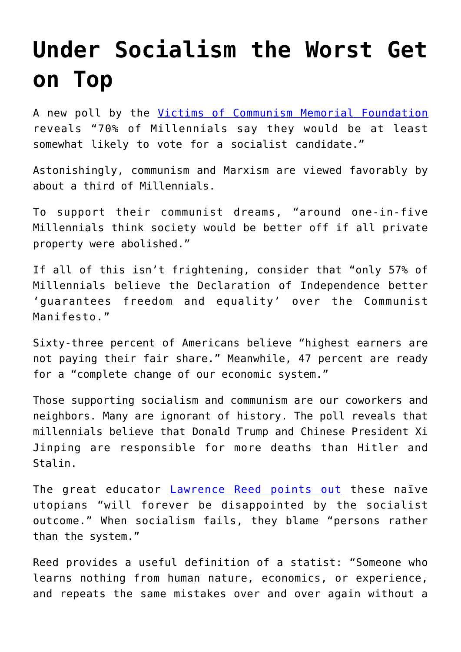## **[Under Socialism the Worst Get](https://intellectualtakeout.org/2019/11/under-socialism-the-worst-get-on-top/) [on Top](https://intellectualtakeout.org/2019/11/under-socialism-the-worst-get-on-top/)**

A new poll by the [Victims of Communism Memorial Foundation](https://www.victimsofcommunism.org/2019-annual-poll) reveals "70% of Millennials say they would be at least somewhat likely to vote for a socialist candidate."

Astonishingly, communism and Marxism are viewed favorably by about a third of Millennials.

To support their communist dreams, "around one-in-five Millennials think society would be better off if all private property were abolished."

If all of this isn't frightening, consider that "only 57% of Millennials believe the Declaration of Independence better 'guarantees freedom and equality' over the Communist Manifesto."

Sixty-three percent of Americans believe "highest earners are not paying their fair share." Meanwhile, 47 percent are ready for a "complete change of our economic system."

Those supporting socialism and communism are our coworkers and neighbors. Many are ignorant of history. The poll reveals that millennials believe that Donald Trump and Chinese President Xi Jinping are responsible for more deaths than Hitler and Stalin.

The great educator **[Lawrence Reed points out](https://fee.org/articles/hayek-was-right-the-worst-do-get-to-the-top/)** these naïve utopians "will forever be disappointed by the socialist outcome." When socialism fails, they blame "persons rather than the system."

Reed provides a useful definition of a statist: "Someone who learns nothing from human nature, economics, or experience, and repeats the same mistakes over and over again without a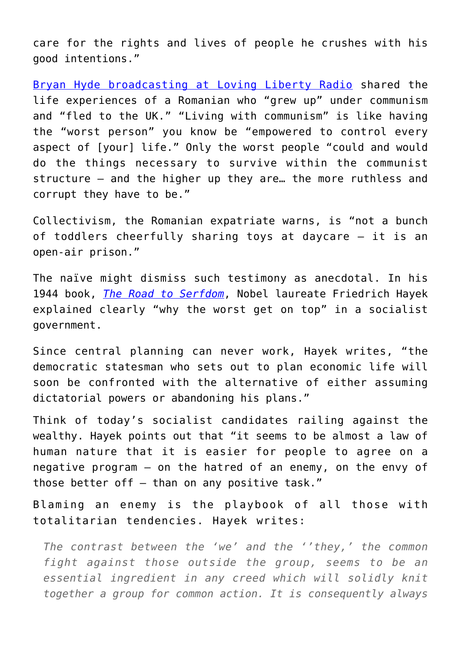care for the rights and lives of people he crushes with his good intentions."

[Bryan Hyde broadcasting at Loving Liberty Radio](https://lovingliberty.net/lls/10-31-2019-loving-liberty-with-bryan-hyde-hr-1/) shared the life experiences of a Romanian who "grew up" under communism and "fled to the UK." "Living with communism" is like having the "worst person" you know be "empowered to control every aspect of [your] life." Only the worst people "could and would do the things necessary to survive within the communist structure – and the higher up they are… the more ruthless and corrupt they have to be."

Collectivism, the Romanian expatriate warns, is "not a bunch of toddlers cheerfully sharing toys at daycare – it is an open-air prison."

The naïve might dismiss such testimony as anecdotal. In his 1944 book, *[The Road to Serfdom](https://www.amazon.com/Road-Serfdom-Documents-Definitive-Collected/dp/0226320553)*, Nobel laureate Friedrich Hayek explained clearly "why the worst get on top" in a socialist government.

Since central planning can never work, Hayek writes, "the democratic statesman who sets out to plan economic life will soon be confronted with the alternative of either assuming dictatorial powers or abandoning his plans."

Think of today's socialist candidates railing against the wealthy. Hayek points out that "it seems to be almost a law of human nature that it is easier for people to agree on a negative program — on the hatred of an enemy, on the envy of those better off  $-$  than on any positive task."

Blaming an enemy is the playbook of all those with totalitarian tendencies. Hayek writes:

*The contrast between the 'we' and the ''they,' the common fight against those outside the group, seems to be an essential ingredient in any creed which will solidly knit together a group for common action. It is consequently always*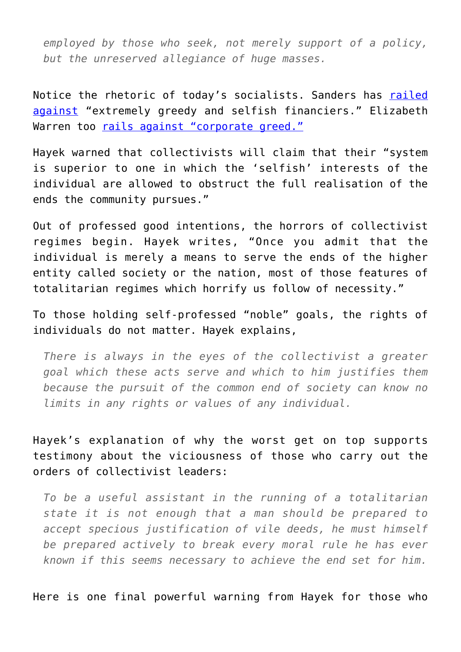*employed by those who seek, not merely support of a policy, but the unreserved allegiance of huge masses.*

Notice the rhetoric of today's socialists. Sanders has [railed](https://atlassociety.org/commentary/commentary-blog/5937-bernie-sanders-and-selfishness) [against](https://atlassociety.org/commentary/commentary-blog/5937-bernie-sanders-and-selfishness) "extremely greedy and selfish financiers." Elizabeth Warren too [rails against "corporate greed."](https://abcnews.go.com/Politics/elizabeth-warren-attacks-corporate-greed-front-biggest-crowd/story?id=65644070)

Hayek warned that collectivists will claim that their "system is superior to one in which the 'selfish' interests of the individual are allowed to obstruct the full realisation of the ends the community pursues."

Out of professed good intentions, the horrors of collectivist regimes begin. Hayek writes, "Once you admit that the individual is merely a means to serve the ends of the higher entity called society or the nation, most of those features of totalitarian regimes which horrify us follow of necessity."

To those holding self-professed "noble" goals, the rights of individuals do not matter. Hayek explains,

*There is always in the eyes of the collectivist a greater goal which these acts serve and which to him justifies them because the pursuit of the common end of society can know no limits in any rights or values of any individual.*

Hayek's explanation of why the worst get on top supports testimony about the viciousness of those who carry out the orders of collectivist leaders:

*To be a useful assistant in the running of a totalitarian state it is not enough that a man should be prepared to accept specious justification of vile deeds, he must himself be prepared actively to break every moral rule he has ever known if this seems necessary to achieve the end set for him.*

Here is one final powerful warning from Hayek for those who